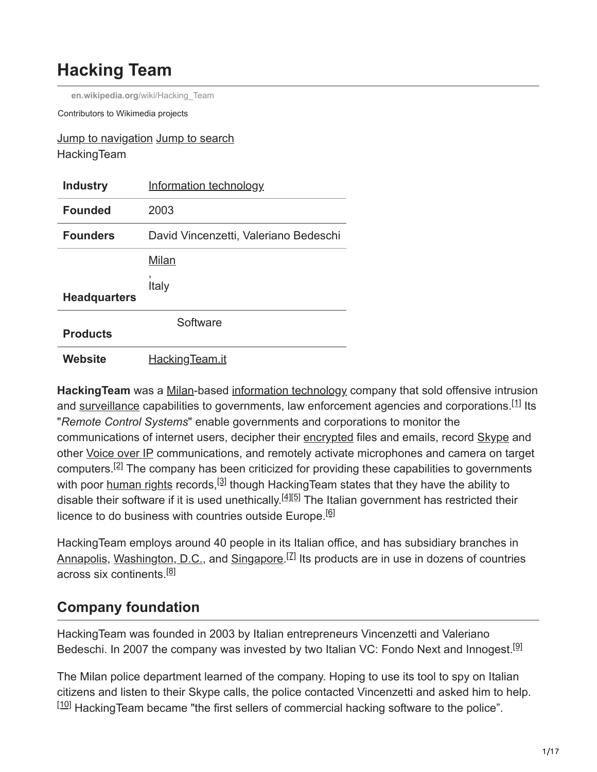# **Hacking Team**

**en.wikipedia.org**[/wiki/Hacking\\_Team](https://en.wikipedia.org/wiki/Hacking_Team)

Contributors to Wikimedia projects

#### Jump to navigation Jump to search **HackingTeam**

| <b>Industry</b>     | Information technology                |
|---------------------|---------------------------------------|
| <b>Founded</b>      | 2003                                  |
| <b>Founders</b>     | David Vincenzetti, Valeriano Bedeschi |
|                     | Milan                                 |
| <b>Headquarters</b> | Italy                                 |
| <b>Products</b>     | Software                              |
| Website             | HackingTeam.it                        |

**Hacking Team** was a [Milan](https://en.wikipedia.org/wiki/Milan)-based [information technology](https://en.wikipedia.org/wiki/Information_technology) company that sold offensive intrusion and [surveillance](https://en.wikipedia.org/wiki/Surveillance) capabilities to governments, law enforcement agencies and corporations.<sup>[1]</sup> Its "*Remote Control Systems*" enable governments and corporations to monitor the communications of internet users, decipher their [encrypted](https://en.wikipedia.org/wiki/Cryptography) files and emails, record [Skype](https://en.wikipedia.org/wiki/Skype) and other [Voice over IP](https://en.wikipedia.org/wiki/Voice_over_IP) communications, and remotely activate microphones and camera on target computers.<sup>[2]</sup> The company has been criticized for providing these capabilities to governments with poor [human rights](https://en.wikipedia.org/wiki/Human_rights) records,<sup>[3]</sup> though HackingTeam states that they have the ability to disable their software if it is used unethically.<sup>[4][5]</sup> The Italian government has restricted their licence to do business with countries outside Europe.<sup>[6]</sup>

HackingTeam employs around 40 people in its Italian office, and has subsidiary branches in [Annapolis](https://en.wikipedia.org/wiki/Annapolis), [Washington, D.C.,](https://en.wikipedia.org/wiki/Washington,_D.C.) and [Singapore.](https://en.wikipedia.org/wiki/Singapore)<sup>[7]</sup> Its products are in use in dozens of countries across six continents.<sup>[8]</sup>

# **Company foundation**

HackingTeam was founded in 2003 by Italian entrepreneurs Vincenzetti and Valeriano Bedeschi. In 2007 the company was invested by two Italian VC: Fondo Next and Innogest.<sup>[9]</sup>

The Milan police department learned of the company. Hoping to use its tool to spy on Italian citizens and listen to their Skype calls, the police contacted Vincenzetti and asked him to help.  $[10]$  HackingTeam became "the first sellers of commercial hacking software to the police".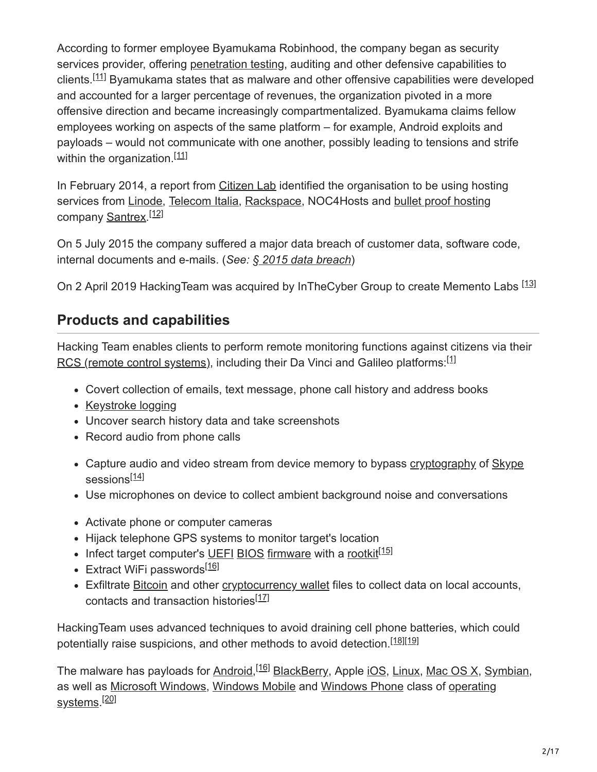According to former employee Byamukama Robinhood, the company began as security services provider, offering [penetration testing,](https://en.wikipedia.org/wiki/Penetration_testing) auditing and other defensive capabilities to clients.<sup>[11]</sup> Byamukama states that as malware and other offensive capabilities were developed and accounted for a larger percentage of revenues, the organization pivoted in a more offensive direction and became increasingly compartmentalized. Byamukama claims fellow employees working on aspects of the same platform – for example, Android exploits and payloads – would not communicate with one another, possibly leading to tensions and strife within the organization.<sup>[11]</sup>

In February 2014, a report from [Citizen Lab](https://en.wikipedia.org/wiki/Citizen_Lab) identified the organisation to be using hosting services from [Linode](https://en.wikipedia.org/wiki/Linode), [Telecom Italia,](https://en.wikipedia.org/wiki/Telecom_Italia) [Rackspace](https://en.wikipedia.org/wiki/Rackspace), NOC4Hosts and [bullet proof hosting](https://en.wikipedia.org/wiki/Bullet_proof_hosting) company [Santrex.](https://en.wikipedia.org/w/index.php?title=Santrex&action=edit&redlink=1)<sup>[12]</sup>

On 5 July 2015 the company suffered a major data breach of customer data, software code, internal documents and e-mails. (*See: § 2015 data breach*)

On 2 April 2019 Hacking Team was acquired by In The Cyber Group to create Memento Labs <a>[13]</a>

# **Products and capabilities**

Hacking Team enables clients to perform remote monitoring functions against citizens via their [RCS \(remote control systems\),](https://en.wikipedia.org/wiki/Remote_administration_tool) including their Da Vinci and Galileo platforms:<sup>[1]</sup>

- Covert collection of emails, text message, phone call history and address books
- [Keystroke logging](https://en.wikipedia.org/wiki/Keystroke_logging)
- Uncover search history data and take screenshots
- Record audio from phone calls
- Capture audio and video stream from device memory to bypass [cryptography](https://en.wikipedia.org/wiki/Cryptography) of [Skype](https://en.wikipedia.org/wiki/Skype) sessions<sup>[14]</sup>
- Use microphones on device to collect ambient background noise and conversations
- Activate phone or computer cameras
- Hijack telephone GPS systems to monitor target's location
- Infect target computer's [UEFI](https://en.wikipedia.org/wiki/UEFI) [BIOS](https://en.wikipedia.org/wiki/BIOS) [firmware](https://en.wikipedia.org/wiki/Firmware) with a [rootkit](https://en.wikipedia.org/wiki/Rootkit)<sup>[15]</sup>
- Extract WiFi passwords<sup>[16]</sup>
- Exfiltrate [Bitcoin](https://en.wikipedia.org/wiki/Bitcoin) and other [cryptocurrency wallet](https://en.wikipedia.org/wiki/Cryptocurrency_wallet) files to collect data on local accounts, contacts and transaction histories<sup>[17]</sup>

HackingTeam uses advanced techniques to avoid draining cell phone batteries, which could potentially raise suspicions, and other methods to avoid detection.<sup>[18][19]</sup>

The malware has payloads for <u>Android,<sup>[16]</sup> BlackBerry</u>, Apple <u>[iOS](https://en.wikipedia.org/wiki/IOS), [Linux,](https://en.wikipedia.org/wiki/Linux) [Mac OS X,](https://en.wikipedia.org/wiki/Mac_OS_X) [Symbian,](https://en.wikipedia.org/wiki/Symbian)</u> [as well as](https://en.wikipedia.org/wiki/Operating_system) [Microsoft Windows](https://en.wikipedia.org/wiki/Microsoft_Windows)[,](https://en.wikipedia.org/wiki/Operating_system) [Windows Mobil](https://en.wikipedia.org/wiki/Windows_Mobile)[e and W](https://en.wikipedia.org/wiki/Operating_system)[indows Phon](https://en.wikipedia.org/wiki/Windows_Phone)[e class of operating](https://en.wikipedia.org/wiki/Operating_system) <u>systems</u>.<sup>[20]</sup>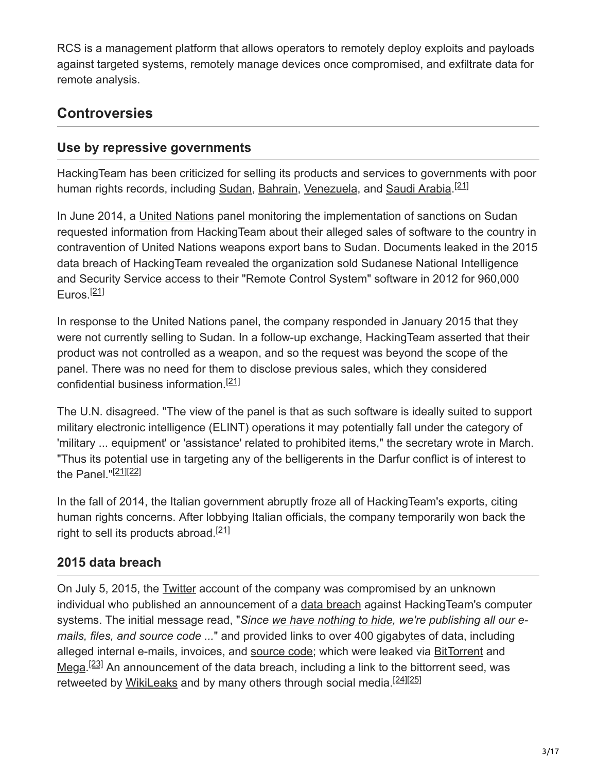RCS is a management platform that allows operators to remotely deploy exploits and payloads against targeted systems, remotely manage devices once compromised, and exfiltrate data for remote analysis.

# **Controversies**

### **Use by repressive governments**

HackingTeam has been criticized for selling its products and services to governments with poor human rights records, including <u>Sudan, [Bahrain,](https://en.wikipedia.org/wiki/Bahrain) [Venezuela](https://en.wikipedia.org/wiki/Venezuela)</u>, and <u>[Saudi Arabia](https://en.wikipedia.org/wiki/Saudi_Arabia).<sup>[21]</sup></u>

In June 2014, a [United Nations](https://en.wikipedia.org/wiki/United_Nations) panel monitoring the implementation of sanctions on Sudan requested information from HackingTeam about their alleged sales of software to the country in contravention of United Nations weapons export bans to Sudan. Documents leaked in the 2015 data breach of HackingTeam revealed the organization sold Sudanese National Intelligence and Security Service access to their "Remote Control System" software in 2012 for 960,000 Euros.<sup>[21]</sup>

In response to the United Nations panel, the company responded in January 2015 that they were not currently selling to Sudan. In a follow-up exchange, HackingTeam asserted that their product was not controlled as a weapon, and so the request was beyond the scope of the panel. There was no need for them to disclose previous sales, which they considered confidential business information.<sup>[21]</sup>

The U.N. disagreed. "The view of the panel is that as such software is ideally suited to support military electronic intelligence (ELINT) operations it may potentially fall under the category of 'military ... equipment' or 'assistance' related to prohibited items," the secretary wrote in March. "Thus its potential use in targeting any of the belligerents in the Darfur conflict is of interest to the Panel."<sup>[21][22]</sup>

In the fall of 2014, the Italian government abruptly froze all of HackingTeam's exports, citing human rights concerns. After lobbying Italian officials, the company temporarily won back the right to sell its products abroad.<sup>[21]</sup>

### **2015 data breach**

On July 5, 2015, the [Twitter](https://en.wikipedia.org/wiki/Twitter) account of the company was compromised by an unknown individual who published an announcement of a [data breach](https://en.wikipedia.org/wiki/Data_breach) against HackingTeam's computer systems. The initial message read, "*Since [we have nothing to hide,](https://en.wikipedia.org/wiki/Nothing_to_hide_argument) we're publishing all our emails, files, and source code ...*" and provided links to over 400 [gigabytes](https://en.wikipedia.org/wiki/Gigabyte) of data, including alleged internal e-mails, invoices, and [source code](https://en.wikipedia.org/wiki/Source_code); which were leaked via [BitTorrent](https://en.wikipedia.org/wiki/BitTorrent) and [Mega.](https://en.wikipedia.org/wiki/Mega_(service))<sup>[23]</sup> An announcement of the data breach, including a link to the bittorrent seed, was retweeted by [WikiLeaks](https://en.wikipedia.org/wiki/WikiLeaks) and by many others through social media.<sup>[24][25]</sup>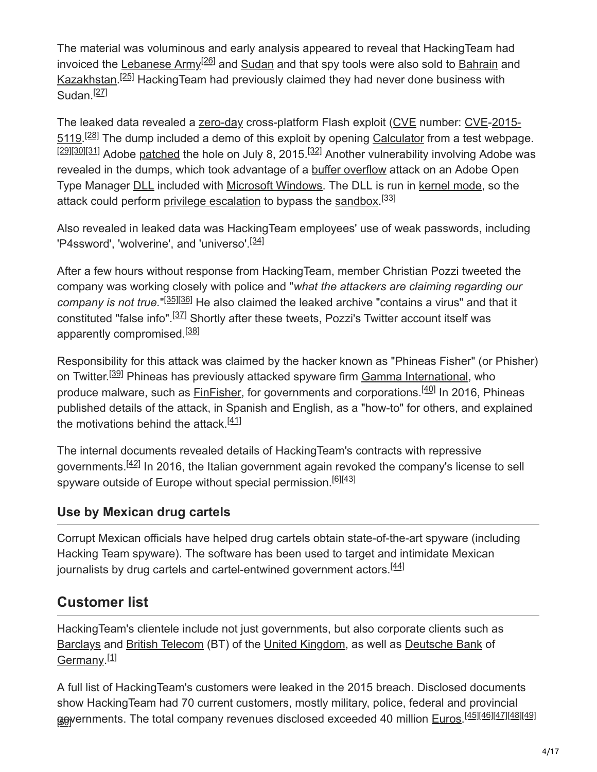The material was voluminous and early analysis appeared to reveal that HackingTeam had invoiced the [Lebanese Army](https://en.wikipedia.org/wiki/Lebanese_Army)<sup>[26]</sup> and [Sudan](https://en.wikipedia.org/wiki/Sudan) and that spy tools were also sold to [Bahrain](https://en.wikipedia.org/wiki/Bahrain) and [Kazakhstan.](https://en.wikipedia.org/wiki/Kazakhstan)<sup>[25]</sup> HackingTeam had previously claimed they had never done business with Sudan.<sup>[27]</sup>

[The leaked data revealed a zero-day cross-platform Flash exploit \(CVE number: CVE-2015-](https://www.cve.org/CVERecord?id=CVE-2015-5119) 5119.<sup>[28]</sup> The dump included a demo of this exploit by opening [Calculator](https://en.wikipedia.org/wiki/Calculator_(computer_program)) from a test webpage. [29][30][31] Adobe [patched](https://en.wikipedia.org/wiki/Software_patch) the hole on July 8, 2015.<sup>[32]</sup> Another vulnerability involving Adobe was revealed in the dumps, which took advantage of a **[buffer overflow](https://en.wikipedia.org/wiki/Buffer_overflow)** attack on an Adobe Open Type Manager **DLL** included with Microsoft Windows. The [DLL](https://en.wikipedia.org/wiki/Dynamic-link_library) is run in [kernel mode,](https://en.wikipedia.org/wiki/Protection_ring) so the attack could perform <u>privilege escalation</u> to bypass the [sandbox](https://en.wikipedia.org/wiki/Sandbox_(computer_security)).<sup>[33]</sup>

Also revealed in leaked data was HackingTeam employees' use of weak passwords, including 'P4ssword', 'wolverine', and 'universo'.<sup>[34]</sup>

After a few hours without response from HackingTeam, member Christian Pozzi tweeted the company was working closely with police and "*what the attackers are claiming regarding our* company is not true."<sup>[35][36]</sup> He also claimed the leaked archive "contains a virus" and that it constituted "false info".<sup>[37]</sup> Shortly after these tweets, Pozzi's Twitter account itself was apparently compromised.<sup>[38]</sup>

Responsibility for this attack was claimed by the hacker known as "Phineas Fisher" (or Phisher) on Twitter.<sup>[39]</sup> Phineas has previously attacked spyware firm <u>[Gamma International](https://en.wikipedia.org/wiki/Gamma_International)</u>, who produce malware, such as **FinFisher**, for governments and corporations.<sup>[40]</sup> In 2016, Phineas published details of the attack, in Spanish and English, as a "how-to" for others, and explained the motivations behind the attack.<sup>[41]</sup>

The internal documents revealed details of HackingTeam's contracts with repressive governments.<sup>[42]</sup> In 2016, the Italian government again revoked the company's license to sell spyware outside of Europe without special permission.<sup>[6][43]</sup>

### **Use by Mexican drug cartels**

Corrupt Mexican officials have helped drug cartels obtain state-of-the-art spyware (including Hacking Team spyware). The software has been used to target and intimidate Mexican journalists by drug cartels and cartel-entwined government actors.<sup>[44]</sup>

# **Customer list**

HackingTeam's clientele include not just governments, but also corporate clients such as [Barclays](https://en.wikipedia.org/wiki/Barclays) and [British Telecom](https://en.wikipedia.org/wiki/BT_Group) (BT) of the [United Kingdom](https://en.wikipedia.org/wiki/United_Kingdom), as well as [Deutsche Bank](https://en.wikipedia.org/wiki/Deutsche_Bank) of [Germany](https://en.wikipedia.org/wiki/Germany).<sup>[1]</sup>

A full list of HackingTeam's customers were leaked in the 2015 breach. Disclosed documents show HackingTeam had 70 current customers, mostly military, police, federal and provincial **go**vernments. The total company revenues disclosed exceeded 40 million <u>[Euros](https://en.wikipedia.org/wiki/Euro)</u>.<sup>[<u>45][46][47][48][49]</u></sup>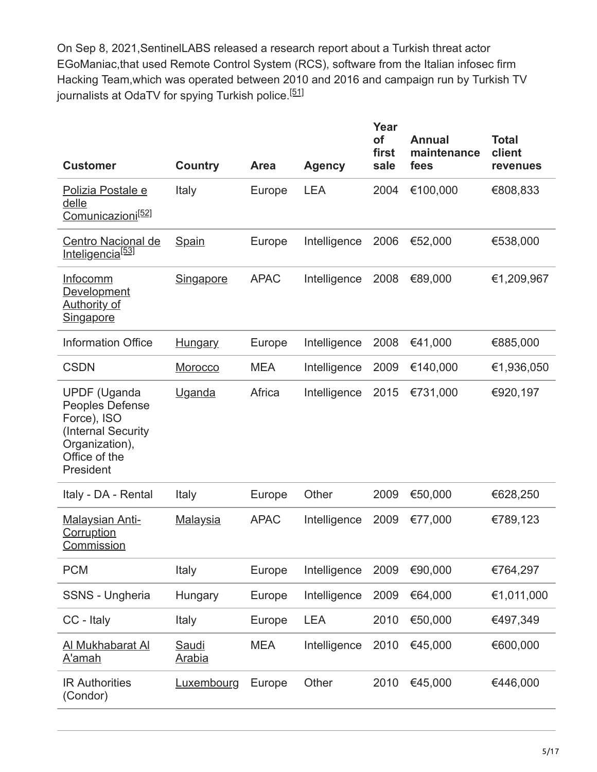On Sep 8, 2021,SentinelLABS released a research report about a Turkish threat actor EGoManiac,that used Remote Control System (RCS), software from the Italian infosec firm Hacking Team,which was operated between 2010 and 2016 and campaign run by Turkish TV journalists at OdaTV for spying Turkish police.<sup>[<u>51]</u></sup>

| <b>Customer</b>                                                                                                             | Country                | <b>Area</b> | <b>Agency</b> | Year<br>of<br>first<br>sale | <b>Annual</b><br>maintenance<br>fees | <b>Total</b><br>client<br>revenues |
|-----------------------------------------------------------------------------------------------------------------------------|------------------------|-------------|---------------|-----------------------------|--------------------------------------|------------------------------------|
| Polizia Postale e<br>delle<br>Comunicazioni <sup>[52]</sup>                                                                 | Italy                  | Europe      | <b>LEA</b>    | 2004                        | €100,000                             | €808,833                           |
| Centro Nacional de<br>Inteligencia <sup>[53]</sup>                                                                          | <b>Spain</b>           | Europe      | Intelligence  | 2006                        | €52,000                              | €538,000                           |
| <b>Infocomm</b><br>Development<br><u>Authority of</u><br>Singapore                                                          | <b>Singapore</b>       | <b>APAC</b> | Intelligence  | 2008                        | €89,000                              | €1,209,967                         |
| <b>Information Office</b>                                                                                                   | <b>Hungary</b>         | Europe      | Intelligence  | 2008                        | €41,000                              | €885,000                           |
| <b>CSDN</b>                                                                                                                 | Morocco                | <b>MEA</b>  | Intelligence  | 2009                        | €140,000                             | €1,936,050                         |
| <b>UPDF</b> (Uganda<br>Peoples Defense<br>Force), ISO<br>(Internal Security<br>Organization),<br>Office of the<br>President | Uganda                 | Africa      | Intelligence  | 2015                        | €731,000                             | €920,197                           |
| Italy - DA - Rental                                                                                                         | Italy                  | Europe      | Other         | 2009                        | €50,000                              | €628,250                           |
| <b>Malaysian Anti-</b><br><b>Corruption</b><br><b>Commission</b>                                                            | <b>Malaysia</b>        | <b>APAC</b> | Intelligence  | 2009                        | €77,000                              | €789,123                           |
| <b>PCM</b>                                                                                                                  | Italy                  | Europe      | Intelligence  | 2009                        | €90,000                              | €764,297                           |
| SSNS - Ungheria                                                                                                             | Hungary                | Europe      | Intelligence  | 2009                        | €64,000                              | €1,011,000                         |
| CC - Italy                                                                                                                  | Italy                  | Europe      | <b>LEA</b>    | 2010                        | €50,000                              | €497,349                           |
| Al Mukhabarat Al<br><u>A'amah</u>                                                                                           | Saudi<br><u>Arabia</u> | <b>MEA</b>  | Intelligence  | 2010                        | €45,000                              | €600,000                           |
| <b>IR Authorities</b><br>(Condor)                                                                                           | Luxembourg             | Europe      | Other         | 2010                        | €45,000                              | €446,000                           |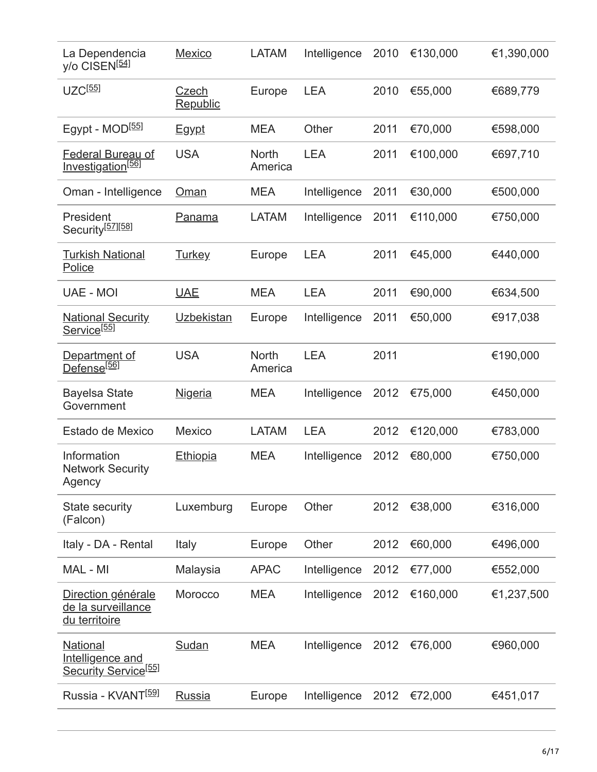| La Dependencia<br>y/o CISEN <sup>[54]</sup>                             | <b>Mexico</b>     | <b>LATAM</b>            | Intelligence | 2010 | €130,000 | €1,390,000 |
|-------------------------------------------------------------------------|-------------------|-------------------------|--------------|------|----------|------------|
| $UZC^{[55]}$                                                            | Czech<br>Republic | Europe                  | <b>LEA</b>   | 2010 | €55,000  | €689,779   |
| Egypt - MOD <sup>[55]</sup>                                             | <b>Egypt</b>      | <b>MEA</b>              | Other        | 2011 | €70,000  | €598,000   |
| <b>Federal Bureau of</b><br>Investigation <sup>[56]</sup>               | <b>USA</b>        | <b>North</b><br>America | <b>LEA</b>   | 2011 | €100,000 | €697,710   |
| Oman - Intelligence                                                     | <u>Oman</u>       | <b>MEA</b>              | Intelligence | 2011 | €30,000  | €500,000   |
| President<br>Security <sup>[57][58]</sup>                               | <b>Panama</b>     | <b>LATAM</b>            | Intelligence | 2011 | €110,000 | €750,000   |
| <b>Turkish National</b><br>Police                                       | <b>Turkey</b>     | Europe                  | <b>LEA</b>   | 2011 | €45,000  | €440,000   |
| UAE - MOI                                                               | <b>UAE</b>        | <b>MEA</b>              | <b>LEA</b>   | 2011 | €90,000  | €634,500   |
| <b>National Security</b><br>Service <sup>[55]</sup>                     | Uzbekistan        | Europe                  | Intelligence | 2011 | €50,000  | €917,038   |
| Department of<br>Defense <sup>[56]</sup>                                | <b>USA</b>        | <b>North</b><br>America | <b>LEA</b>   | 2011 |          | €190,000   |
| <b>Bayelsa State</b><br>Government                                      | <b>Nigeria</b>    | <b>MEA</b>              | Intelligence | 2012 | €75,000  | €450,000   |
| Estado de Mexico                                                        | <b>Mexico</b>     | <b>LATAM</b>            | <b>LEA</b>   | 2012 | €120,000 | €783,000   |
| Information<br><b>Network Security</b><br>Agency                        | <b>Ethiopia</b>   | <b>MEA</b>              | Intelligence | 2012 | €80,000  | €750,000   |
| <b>State security</b><br>(Falcon)                                       | Luxemburg         | Europe                  | Other        | 2012 | €38,000  | €316,000   |
| Italy - DA - Rental                                                     | Italy             | Europe                  | Other        | 2012 | €60,000  | €496,000   |
| MAL - MI                                                                | Malaysia          | <b>APAC</b>             | Intelligence | 2012 | €77,000  | €552,000   |
| Direction générale<br>de la surveillance<br>du territoire               | Morocco           | <b>MEA</b>              | Intelligence | 2012 | €160,000 | €1,237,500 |
| <b>National</b><br>Intelligence and<br>Security Service <sup>[55]</sup> | Sudan             | <b>MEA</b>              | Intelligence | 2012 | €76,000  | €960,000   |
| Russia - KVANT <sup>[59]</sup>                                          | Russia            | Europe                  | Intelligence | 2012 | €72,000  | €451,017   |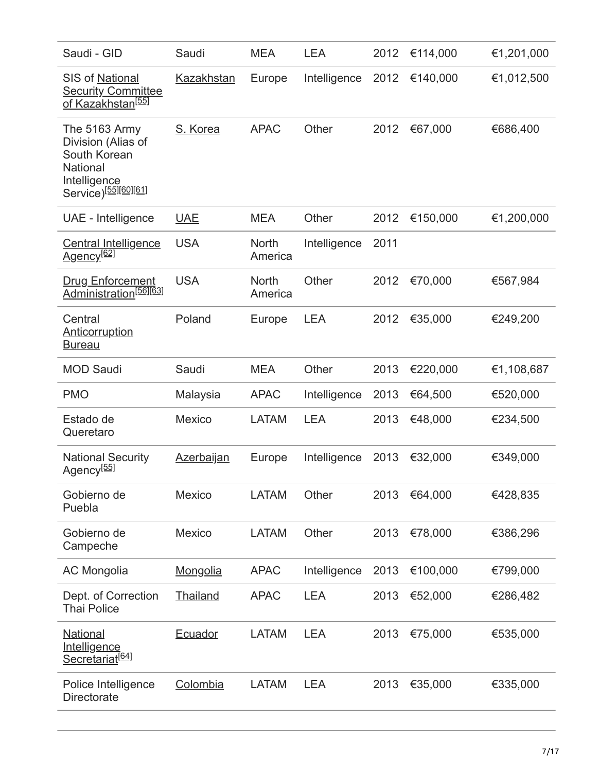| Saudi - GID                                                                                                         | Saudi             | <b>MEA</b>              | <b>LEA</b>   | 2012 | €114,000 | €1,201,000 |
|---------------------------------------------------------------------------------------------------------------------|-------------------|-------------------------|--------------|------|----------|------------|
| SIS of National<br><b>Security Committee</b><br>of Kazakhstan <sup>[55]</sup>                                       | <b>Kazakhstan</b> | Europe                  | Intelligence | 2012 | €140,000 | €1,012,500 |
| The 5163 Army<br>Division (Alias of<br>South Korean<br>National<br>Intelligence<br>Service) <sup>[55][60][61]</sup> | S. Korea          | <b>APAC</b>             | Other        | 2012 | €67,000  | €686,400   |
| UAE - Intelligence                                                                                                  | <b>UAE</b>        | <b>MEA</b>              | Other        | 2012 | €150,000 | €1,200,000 |
| <b>Central Intelligence</b><br>Agency <sup>[62]</sup>                                                               | <b>USA</b>        | <b>North</b><br>America | Intelligence | 2011 |          |            |
| <b>Drug Enforcement</b><br>Administration <sup>[56][63]</sup>                                                       | <b>USA</b>        | <b>North</b><br>America | Other        | 2012 | €70,000  | €567,984   |
| Central<br>Anticorruption<br><b>Bureau</b>                                                                          | Poland            | Europe                  | <b>LEA</b>   | 2012 | €35,000  | €249,200   |
| <b>MOD Saudi</b>                                                                                                    | Saudi             | <b>MEA</b>              | Other        | 2013 | €220,000 | €1,108,687 |
| <b>PMO</b>                                                                                                          | Malaysia          | <b>APAC</b>             | Intelligence | 2013 | €64,500  | €520,000   |
| Estado de<br>Queretaro                                                                                              | <b>Mexico</b>     | <b>LATAM</b>            | <b>LEA</b>   | 2013 | €48,000  | €234,500   |
| <b>National Security</b><br>Agency <sup>[55]</sup>                                                                  | <b>Azerbajjan</b> | Europe                  | Intelligence | 2013 | €32,000  | €349,000   |
| Gobierno de<br>Puebla                                                                                               | <b>Mexico</b>     | <b>LATAM</b>            | Other        | 2013 | €64,000  | €428,835   |
| Gobierno de<br>Campeche                                                                                             | <b>Mexico</b>     | <b>LATAM</b>            | Other        | 2013 | €78,000  | €386,296   |
| <b>AC Mongolia</b>                                                                                                  | Mongolia          | <b>APAC</b>             | Intelligence | 2013 | €100,000 | €799,000   |
| Dept. of Correction<br><b>Thai Police</b>                                                                           | Thailand          | <b>APAC</b>             | <b>LEA</b>   | 2013 | €52,000  | €286,482   |
| <b>National</b><br><b>Intelligence</b><br>Secretariat <sup>[64]</sup>                                               | Ecuador           | <b>LATAM</b>            | <b>LEA</b>   | 2013 | €75,000  | €535,000   |
| Police Intelligence<br><b>Directorate</b>                                                                           | Colombia          | <b>LATAM</b>            | <b>LEA</b>   | 2013 | €35,000  | €335,000   |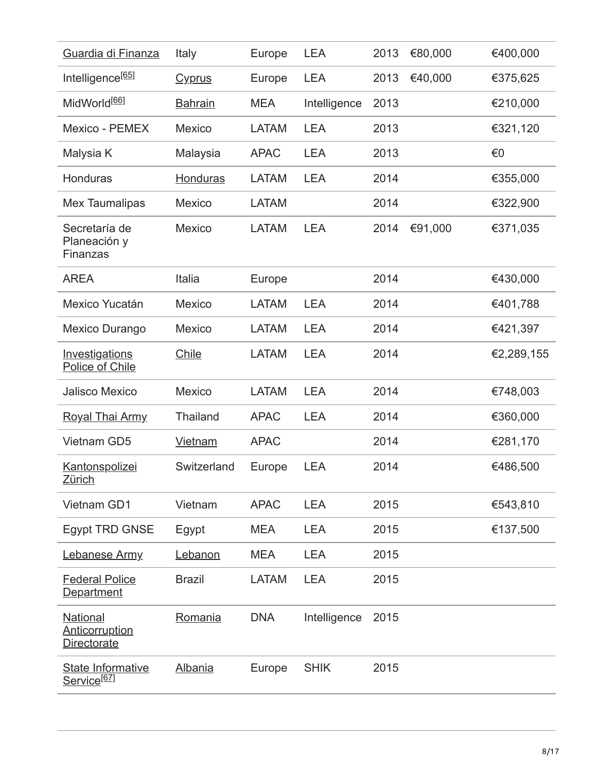| Guardia di Finanza                                      | Italy           | Europe       | <b>LEA</b>   | 2013 | €80,000 | €400,000   |
|---------------------------------------------------------|-----------------|--------------|--------------|------|---------|------------|
| Intelligence <sup>[65]</sup>                            | <b>Cyprus</b>   | Europe       | <b>LEA</b>   | 2013 | €40,000 | €375,625   |
| MidWorld <sup>[66]</sup>                                | <b>Bahrain</b>  | <b>MEA</b>   | Intelligence | 2013 |         | €210,000   |
| Mexico - PEMEX                                          | <b>Mexico</b>   | <b>LATAM</b> | <b>LEA</b>   | 2013 |         | €321,120   |
| Malysia K                                               | Malaysia        | <b>APAC</b>  | <b>LEA</b>   | 2013 |         | €0         |
| Honduras                                                | <b>Honduras</b> | <b>LATAM</b> | <b>LEA</b>   | 2014 |         | €355,000   |
| <b>Mex Taumalipas</b>                                   | Mexico          | <b>LATAM</b> |              | 2014 |         | €322,900   |
| Secretaría de<br>Planeación y<br>Finanzas               | <b>Mexico</b>   | <b>LATAM</b> | <b>LEA</b>   | 2014 | €91,000 | €371,035   |
| <b>AREA</b>                                             | Italia          | Europe       |              | 2014 |         | €430,000   |
| Mexico Yucatán                                          | <b>Mexico</b>   | <b>LATAM</b> | <b>LEA</b>   | 2014 |         | €401,788   |
| Mexico Durango                                          | Mexico          | <b>LATAM</b> | <b>LEA</b>   | 2014 |         | €421,397   |
| Investigations<br>Police of Chile                       | Chile           | <b>LATAM</b> | <b>LEA</b>   | 2014 |         | €2,289,155 |
| <b>Jalisco Mexico</b>                                   | <b>Mexico</b>   | <b>LATAM</b> | <b>LEA</b>   | 2014 |         | €748,003   |
| <b>Royal Thai Army</b>                                  | <b>Thailand</b> | <b>APAC</b>  | <b>LEA</b>   | 2014 |         | €360,000   |
| <b>Vietnam GD5</b>                                      | <b>Vietnam</b>  | <b>APAC</b>  |              | 2014 |         | €281,170   |
| <b>Kantonspolizei</b><br>Zürich                         | Switzerland     | Europe       | <b>LEA</b>   | 2014 |         | €486,500   |
| Vietnam GD1                                             | Vietnam         | <b>APAC</b>  | <b>LEA</b>   | 2015 |         | €543,810   |
| <b>Egypt TRD GNSE</b>                                   | Egypt           | <b>MEA</b>   | <b>LEA</b>   | 2015 |         | €137,500   |
| Lebanese Army                                           | Lebanon         | <b>MEA</b>   | <b>LEA</b>   | 2015 |         |            |
| <b>Federal Police</b><br><b>Department</b>              | <b>Brazil</b>   | <b>LATAM</b> | <b>LEA</b>   | 2015 |         |            |
| <b>National</b><br>Anticorruption<br><b>Directorate</b> | Romania         | <b>DNA</b>   | Intelligence | 2015 |         |            |
| State Informative<br>Service <sup>[67]</sup>            | <b>Albania</b>  | Europe       | <b>SHIK</b>  | 2015 |         |            |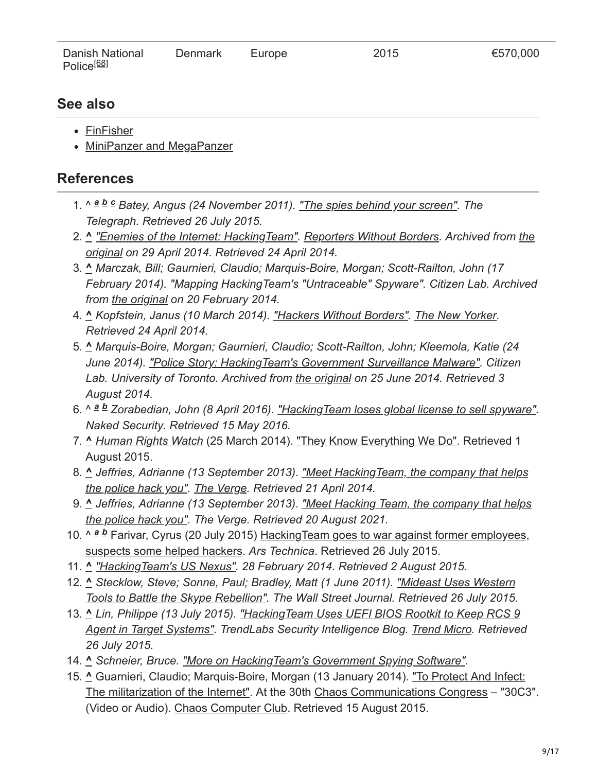| Danish National        | Denmark | Europe | 2015 | €570,000 |
|------------------------|---------|--------|------|----------|
| Police <sup>[68]</sup> |         |        |      |          |

### **See also**

- [FinFisher](https://en.wikipedia.org/wiki/FinFisher)
- [MiniPanzer and MegaPanzer](https://en.wikipedia.org/wiki/MiniPanzer_and_MegaPanzer)

### **References**

- 1. ^  $a$  *b*  $c$  Batey, Angus (24 November 2011). ["The spies behind your screen".](https://www.telegraph.co.uk/technology/8899353/The-spies-behind-your-screen.html) The *Telegraph. Retrieved 26 July 2015.*
- 2. **^** *["Enemies of the Internet: HackingTeam". Reporters Without Borders. Archived from the](http://surveillance.rsf.org/en/hacking-team/) original on 29 April 2014. Retrieved 24 April 2014.*
- 3. **^** *Marczak, Bill; Gaurnieri, Claudio; Marquis-Boire, Morgan; Scott-Railton, John (17 February 2014). ["Mapping HackingTeam's "Untraceable" Spyware".](https://web.archive.org/web/20140220070424/https://citizenlab.org/2014/02/mapping-hacking-teams-untraceable-spyware/) [Citizen Lab](https://en.wikipedia.org/wiki/Citizen_Lab). Archived from [the original](https://citizenlab.org/2014/02/mapping-hacking-teams-untraceable-spyware/) on 20 February 2014.*
- 4. **^** *Kopfstein, Janus (10 March 2014). ["Hackers Without Borders".](https://www.newyorker.com/tech/annals-of-technology/hackers-without-borders) [The New Yorker](https://en.wikipedia.org/wiki/The_New_Yorker). Retrieved 24 April 2014.*
- 5. **^** *Marquis-Boire, Morgan; Gaurnieri, Claudio; Scott-Railton, John; Kleemola, Katie (24 June 2014). ["Police Story: HackingTeam's Government Surveillance Malware"](https://web.archive.org/web/20140625065101/https://citizenlab.org/2014/06/backdoor-hacking-teams-tradecraft-android-implant/). Citizen Lab. University of Toronto. Archived from [the original](https://citizenlab.org/2014/06/backdoor-hacking-teams-tradecraft-android-implant/) on 25 June 2014. Retrieved 3 August 2014.*
- 6. ^  $a$  *b* Zorabedian, John (8 April 2016). ["HackingTeam loses global license to sell spyware"](https://nakedsecurity.sophos.com/2016/04/08/hacking-team-loses-global-license-to-sell-spyware/). *Naked Security. Retrieved 15 May 2016.*
- 7. **^** *[Human Rights Watch](https://en.wikipedia.org/wiki/Human_Rights_Watch)* (25 March 2014). ["They Know Everything We Do".](https://www.hrw.org/report/2014/03/25/they-know-everything-we-do/telecom-and-internet-surveillance-ethiopia) Retrieved 1 August 2015.
- 8. **^** *[Jeffries, Adrianne \(13 September 2013\). "Meet HackingTeam, the company that helps](https://www.theverge.com/2013/9/13/4723610/meet-hacking-team-the-company-that-helps-police-hack-into-computers) the police hack you". [The Verge](https://en.wikipedia.org/wiki/The_Verge). Retrieved 21 April 2014.*
- 9. **^** *[Jeffries, Adrianne \(13 September 2013\). "Meet Hacking Team, the company that helps](https://www.theverge.com/2013/9/13/4723610/meet-hacking-team-the-company-that-helps-police-hack-into-computers) the police hack you". The Verge. Retrieved 20 August 2021.*
- 10. ^ a b Farivar, Cyrus (20 July 2015) Hacking Team goes to war against former employees, suspects some helped hackers. *Ars Technica*. Retrieved 26 July 2015.
- 11. **^** *["HackingTeam's US Nexus".](https://citizenlab.org/2014/02/hacking-teams-us-nexus/) 28 February 2014. Retrieved 2 August 2015.*
- 12. **^** *Stecklow, Steve; Sonne, Paul; Bradley, Matt (1 June 2011). "Mideast Uses Western [Tools to Battle the Skype Rebellion". The Wall Street Journal. Retrieved 26 July 2015.](https://www.wsj.com/articles/SB10001424052702304520804576345970862420038)*
- 13. **^** *Lin, Philippe (13 July 2015). "HackingTeam Uses UEFI BIOS Rootkit to Keep RCS 9 [Agent in Target Systems". TrendLabs Security Intelligence Blog. Trend Micro. Retrieve](https://blog.trendmicro.com/trendlabs-security-intelligence/hacking-team-uses-uefi-bios-rootkit-to-keep-rcs-9-agent-in-target-systems/)d 26 July 2015.*
- 14. **^** *Schneier, Bruce. ["More on HackingTeam's Government Spying Software".](https://www.schneier.com/blog/archives/2014/06/more_on_hacking.html)*
- 15. **^** [Guarnieri, Claudio; Marquis-Boire, Morgan \(13 January 2014\). "To Protect And Infect:](https://media.ccc.de/v/30C3_-_5439_-_en_-_saal_1_-_201312292105_-_to_protect_and_infect_-_claudio_guarnieri_-_morgan_marquis-boire) The militarization of the Internet". At the 30th [Chaos Communications Congress](https://en.wikipedia.org/wiki/Chaos_Communications_Congress) – "30C3". (Video or Audio). [Chaos Computer Club.](https://en.wikipedia.org/wiki/Chaos_Computer_Club) Retrieved 15 August 2015.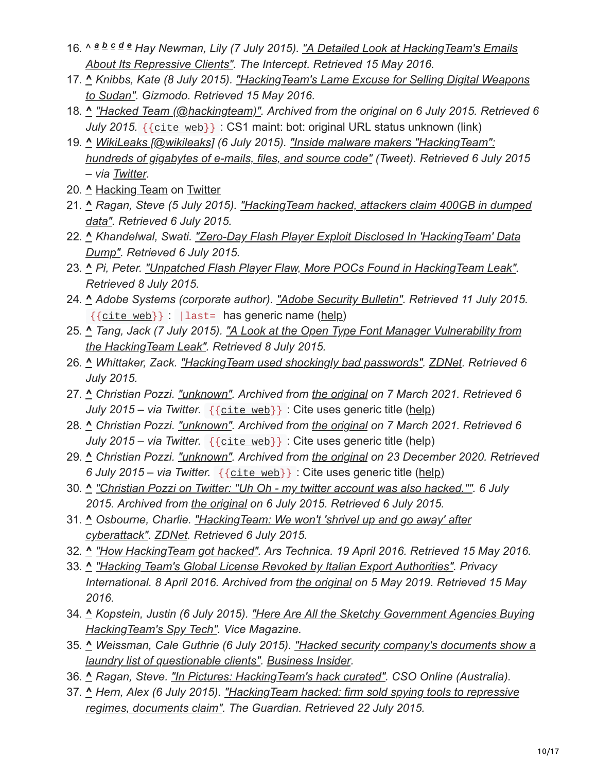- 16. ^ a b c d e [Hay Newman, Lily \(7 July 2015\). "A Detailed Look at HackingTeam's Emails](https://theintercept.com/2015/07/07/leaked-documents-confirm-hacking-team-sells-spyware-repressive-countries/) *About Its Repressive Clients". The Intercept. Retrieved 15 May 2016.*
- 17. **^** *[Knibbs, Kate \(8 July 2015\). "HackingTeam's Lame Excuse for Selling Digital Weapons](https://gizmodo.com/hacking-teams-lame-excuse-for-selling-digital-weapons-t-1716375503) to Sudan". Gizmodo. Retrieved 15 May 2016.*
- 18. **^** *["Hacked Team \(@hackingteam\)".](https://web.archive.org/web/20150706010312/https://twitter.com/hackingteam) Archived from the original on 6 July 2015. Retrieved 6 July 2015.* { [{cite](https://en.wikipedia.org/wiki/Template:Cite_web) web}} : CS1 maint: bot: original URL status unknown ([link](https://en.wikipedia.org/wiki/Category:CS1_maint:_bot:_original_URL_status_unknown))
- 19. **^** *[WikiLeaks \[@wikileaks\]](https://en.wikipedia.org/wiki/WikiLeaks) (6 July 2015). "Inside malware makers "HackingTeam": [hundreds of gigabytes of e-mails, files, and source code" \(Tweet\). Retrieved 6 Jul](https://twitter.com/wikileaks/status/617865712611233792)y 2015 – via [Twitter](https://en.wikipedia.org/wiki/Twitter).*
- 20. **^** [Hacking Team](https://twitter.com/SynAckPwn/status/617955067006578689) on [Twitter](https://en.wikipedia.org/wiki/Twitter)
- 21. **^** *[Ragan, Steve \(5 July 2015\). "HackingTeam hacked, attackers claim 400GB in dumped](https://www.csoonline.com/article/2943968/hacking-team-hacked-attackers-claim-400gb-in-dumped-data.html) data". Retrieved 6 July 2015.*
- 22. **^** *[Khandelwal, Swati. "Zero-Day Flash Player Exploit Disclosed In 'HackingTeam' Data](https://thehackernews.com/2015/07/flash-zero-day-vulnerability.html) Dump". Retrieved 6 July 2015.*
- 23. **^** *Pi, Peter. ["Unpatched Flash Player Flaw, More POCs Found in HackingTeam Leak".](https://thehackernews.com/2015/07/flash-zero-day-vulnerability.html) Retrieved 8 July 2015.*
- 24. **^** *Adobe Systems (corporate author). ["Adobe Security Bulletin"](https://helpx.adobe.com/security/products/flash-player/apsb15-16.html). Retrieved 11 July 2015.*  ${$ {[cite](https://en.wikipedia.org/wiki/Template:Cite_web) web}} : |last= has generic name [\(help\)](https://en.wikipedia.org/wiki/Help:CS1_errors#generic_name)
- 25. **^** *[Tang, Jack \(7 July 2015\). "A Look at the Open Type Font Manager Vulnerability from](https://blog.trendmicro.com/trendlabs-security-intelligence/a-look-at-the-open-type-font-manager-vulnerability-from-the-hacking-team-leak/) the HackingTeam Leak". Retrieved 8 July 2015.*
- 26. **^** *Whittaker, Zack. ["HackingTeam used shockingly bad passwords".](https://www.zdnet.com/article/no-wonder-hacking-team-got-hacked/) [ZDNet.](https://en.wikipedia.org/wiki/ZDNet) Retrieved 6 July 2015.*
- 27. **^** *Christian Pozzi. ["unknown".](https://web.archive.org/web/20210307202902/https://twitter.com/christian_pozzi/status/617964180042190848) Archived from [the original](https://twitter.com/christian_pozzi/status/617964180042190848) on 7 March 2021. Retrieved 6 July 2015 – via Twitter.* {{[cite](https://en.wikipedia.org/wiki/Template:Cite_web) web}} : Cite uses generic title ([help](https://en.wikipedia.org/wiki/Help:CS1_errors#generic_title))
- 28. **^** *Christian Pozzi. ["unknown".](https://web.archive.org/web/20210307215040/https://twitter.com/christian_pozzi/status/617964660705234944) Archived from [the original](https://twitter.com/christian_pozzi/status/617964660705234944) on 7 March 2021. Retrieved 6 July 2015 – via Twitter.* {{[cite](https://en.wikipedia.org/wiki/Template:Cite_web) web}} : Cite uses generic title ([help](https://en.wikipedia.org/wiki/Help:CS1_errors#generic_title))
- 29. **^** *Christian Pozzi. ["unknown".](https://web.archive.org/web/20201223092507/https://twitter.com/christian_pozzi/status/617962663188926465) Archived from [the original](https://twitter.com/christian_pozzi/status/617962663188926465) on 23 December 2020. Retrieved 6 July 2015 – via Twitter.* {{[cite](https://en.wikipedia.org/wiki/Template:Cite_web) web}} : Cite uses generic title ([help\)](https://en.wikipedia.org/wiki/Help:CS1_errors#generic_title)
- 30. **^** *["Christian Pozzi on Twitter: "Uh Oh my twitter account was also hacked."".](https://web.archive.org/web/20150706084837/https://twitter.com/christian_pozzi/status/617977753250496512) 6 July 2015. Archived from [the original](https://twitter.com/christian_pozzi/status/617977753250496512) on 6 July 2015. Retrieved 6 July 2015.*
- 31. **^** *[Osbourne, Charlie. "HackingTeam: We won't 'shrivel up and go away' after](https://www.zdnet.com/article/hacking-team-cyberattack-aftermath-interview/) cyberattack". [ZDNet](https://en.wikipedia.org/wiki/ZDNet). Retrieved 6 July 2015.*
- 32. **^** *["How HackingTeam got hacked".](https://arstechnica.com/security/2016/04/how-hacking-team-got-hacked-phineas-phisher/) Ars Technica. 19 April 2016. Retrieved 15 May 2016.*
- 33. **^** *["Hacking Team's Global License Revoked by Italian Export Authorities"](https://web.archive.org/web/20190505001143/https://www.privacyinternational.org/blog/1042/hacking-teams-global-license-revoked-italian-export-authorities). Privacy International. 8 April 2016. Archived from [the original](https://www.privacyinternational.org/blog/1042/hacking-teams-global-license-revoked-italian-export-authorities) on 5 May 2019. Retrieved 15 May 2016.*
- 34. **^** *[Kopstein, Justin \(6 July 2015\). "Here Are All the Sketchy Government Agencies Buying](https://motherboard.vice.com/en_us/article/nzeg5x/here-are-all-the-sketchy-government-agencies-buying-hacking-teams-spy-tech) HackingTeam's Spy Tech". Vice Magazine.*
- 35. **^** *[Weissman, Cale Guthrie \(6 July 2015\). "Hacked security company's documents show a](https://www.businessinsider.com/hacked-security-companys-document-2015-7) laundry list of questionable clients". [Business Insider.](https://en.wikipedia.org/wiki/Business_Insider)*
- 36. **^** *Ragan, Steve. ["In Pictures: HackingTeam's hack curated"](https://www.cso.com.au/slideshow/579158/pictures-hacking-team-hack-curated/). CSO Online (Australia).*
- 37. **^** *[Hern, Alex \(6 July 2015\). "HackingTeam hacked: firm sold spying tools to repressive](https://www.theguardian.com/technology/2015/jul/06/hacking-team-hacked-firm-sold-spying-tools-to-repressive-regimes-documents-claim) regimes, documents claim". The Guardian. Retrieved 22 July 2015.*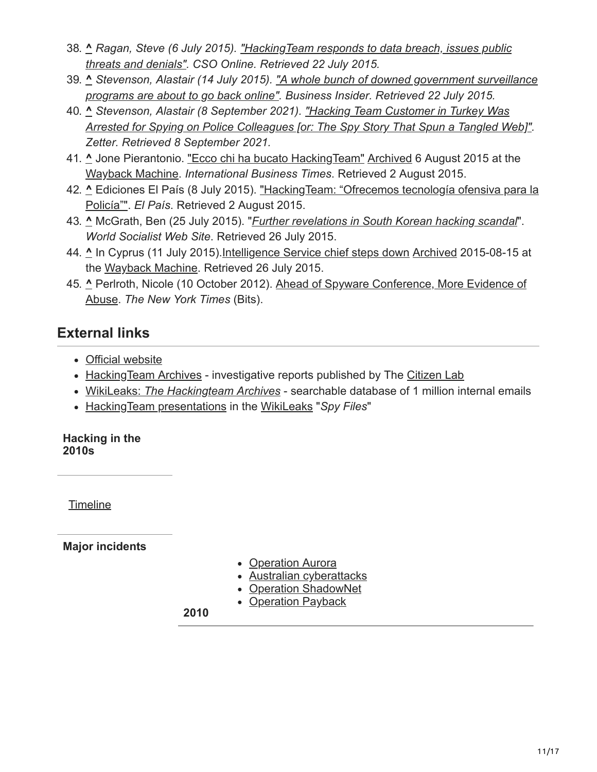- 38. **^** *[Ragan, Steve \(6 July 2015\). "HackingTeam responds to data breach, issues public](https://www.csoonline.com/article/2944333/hacking-team-responds-to-data-breach-issues-public-threats-and-denials.html) threats and denials". CSO Online. Retrieved 22 July 2015.*
- 39. **^** *[Stevenson, Alastair \(14 July 2015\). "A whole bunch of downed government surveillance](https://www.businessinsider.com/hacking-team-promises-customers-they-can-resume-surveillance-operations-soon-2015-7) programs are about to go back online". Business Insider. Retrieved 22 July 2015.*
- 40. **^** *Stevenson, Alastair (8 September 2021). "Hacking Team Customer in Turkey Was [Arrested for Spying on Police Colleagues \[or: The Spy Story That Spun a Tangled Web\]"](https://zetter.substack.com/p/hacking-team-customer-in-turkey-was?s=r). Zetter. Retrieved 8 September 2021.*
- 41. **^** Jone Pierantonio. ["Ecco chi ha bucato HackingTeam"](http://it.ibtimes.com/cyber-space/ecco-chi-ha-bucato-hacking-team-1408915) [Archived](https://web.archive.org/web/20150806132049/http://it.ibtimes.com/cyber-space/ecco-chi-ha-bucato-hacking-team-1408915) 6 August 2015 at the [Wayback Machine](https://en.wikipedia.org/wiki/Wayback_Machine). *International Business Times*. Retrieved 2 August 2015.
- 42. ^ [Ediciones El País \(8 July 2015\). "HackingTeam: "Ofrecemos tecnología ofensiva para la](https://elpais.com/internacional/2015/07/08/actualidad/1436343710_282978.html) Policía"". *El País*. Retrieved 2 August 2015.
- 43. **^** McGrath, Ben (25 July 2015). "*[Further revelations in South Korean hacking scandal](https://www.wsws.org/en/articles/2015/07/25/kore-j25.html)*". *World Socialist Web Site*. Retrieved 26 July 2015.
- 44. **^** In Cyprus (11 July 2015).[Intelligence Service chief steps down](http://in-cyprus.com/intelligence-service-chief-steps-down/) [Archived](https://web.archive.org/web/20150815133237/http://in-cyprus.com/intelligence-service-chief-steps-down/) 2015-08-15 at the [Wayback Machine](https://en.wikipedia.org/wiki/Wayback_Machine). Retrieved 26 July 2015.
- 45. **^** [Perlroth, Nicole \(10 October 2012\). Ahead of Spyware Conference, More Evidence of](https://bits.blogs.nytimes.com/2012/10/10/ahead-of-spyware-conference-more-evidence-of-abuse/?_r=0) Abuse. *The New York Times* (Bits).

# **External links**

- [Official website](http://www.hackingteam.it/)
- [HackingTeam Archives](https://citizenlab.org/tag/hacking-team/) investigative reports published by The [Citizen Lab](https://en.wikipedia.org/wiki/Citizen_Lab)
- WikiLeaks: *[The Hackingteam Archives](https://wikileaks.org/hackingteam/emails)* searchable database of 1 million internal emails
- [HackingTeam presentations](https://web.archive.org/web/20140918005805/https://www.wikileaks.org/spyfiles/list/company-name/hackingteam.html) in the [WikiLeaks](https://en.wikipedia.org/wiki/WikiLeaks) "*Spy Files*"

#### **Hacking in the 2010s**

**[Timeline](https://en.wikipedia.org/wiki/Timeline_of_computer_security_hacker_history#2010s)** 

**Major incidents**

- [Operation Aurora](https://en.wikipedia.org/wiki/Operation_Aurora)
- [Australian cyberattacks](https://en.wikipedia.org/wiki/February_2010_Australian_cyberattacks)
- [Operation ShadowNet](https://en.wikipedia.org/wiki/Shadow_Network)
- [Operation Payback](https://en.wikipedia.org/wiki/Operation_Payback)

**2010**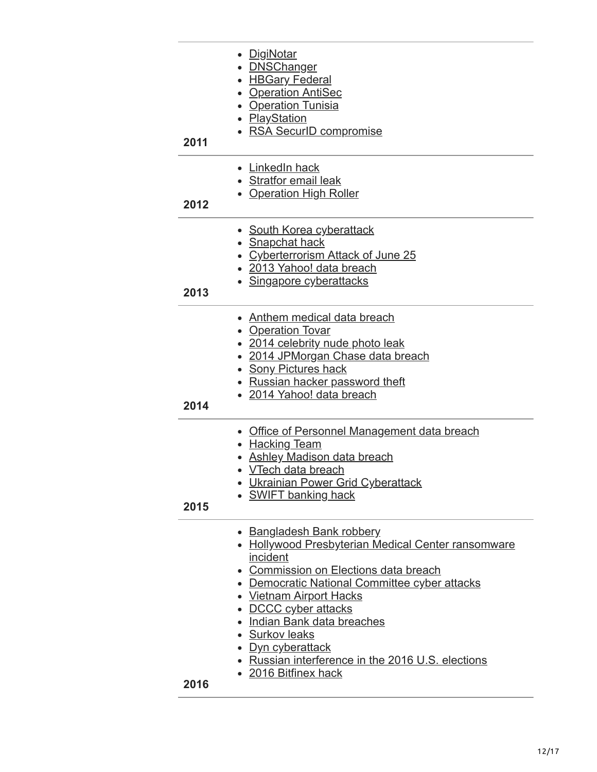| 2011 | <u>DigiNotar</u><br>• <b>DNSChanger</b><br>• HBGary Federal<br>• Operation AntiSec<br>• Operation Tunisia<br>• PlayStation<br>• RSA SecurID compromise                                                                                                                                                                                                                                                  |
|------|---------------------------------------------------------------------------------------------------------------------------------------------------------------------------------------------------------------------------------------------------------------------------------------------------------------------------------------------------------------------------------------------------------|
| 2012 | • LinkedIn hack<br>• Stratfor email leak<br>• Operation High Roller                                                                                                                                                                                                                                                                                                                                     |
| 2013 | • South Korea cyberattack<br>• Snapchat hack<br><b>Cyberterrorism Attack of June 25</b><br>• 2013 Yahoo! data breach<br>• Singapore cyberattacks                                                                                                                                                                                                                                                        |
| 2014 | • Anthem medical data breach<br>• Operation Tovar<br>• 2014 celebrity nude photo leak<br>2014 JPMorgan Chase data breach<br><b>Sony Pictures hack</b><br>Russian hacker password theft<br>• 2014 Yahoo! data breach                                                                                                                                                                                     |
| 2015 | Office of Personnel Management data breach<br>• Hacking Team<br><b>Ashley Madison data breach</b><br>• <u>VTech data breach</u><br>Ukrainian Power Grid Cyberattack<br><b>SWIFT banking hack</b>                                                                                                                                                                                                        |
| 2016 | <b>Bangladesh Bank robbery</b><br>• Hollywood Presbyterian Medical Center ransomware<br>incident<br>• Commission on Elections data breach<br>• Democratic National Committee cyber attacks<br>• Vietnam Airport Hacks<br>• DCCC cyber attacks<br>· Indian Bank data breaches<br>• Surkov leaks<br>• <u>Dyn cyberattack</u><br>• Russian interference in the 2016 U.S. elections<br>• 2016 Bitfinex hack |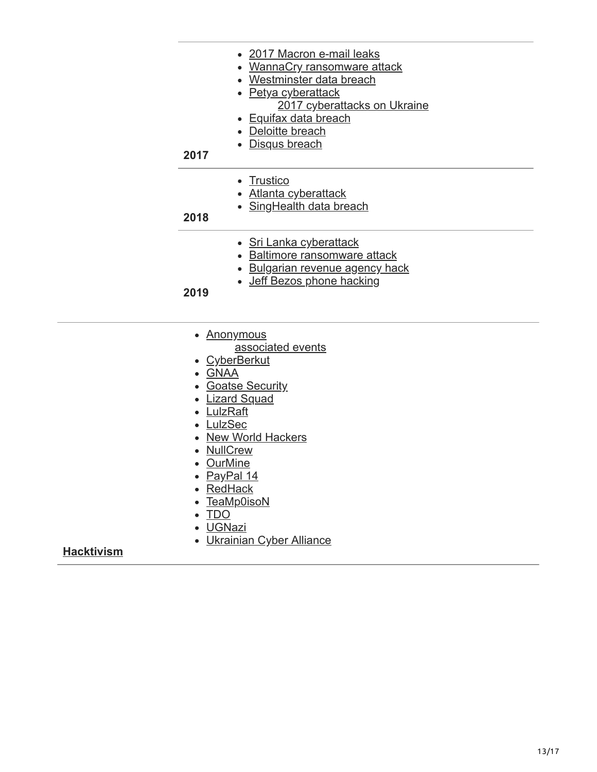| 2017 | • 2017 Macron e-mail leaks<br>• WannaCry ransomware attack<br>• Westminster data breach<br>• Petya cyberattack<br>2017 cyberattacks on Ukraine<br>• Equifax data breach<br>• Deloitte breach<br>• Disqus breach |
|------|-----------------------------------------------------------------------------------------------------------------------------------------------------------------------------------------------------------------|
| 2018 | • Trustico<br>• Atlanta cyberattack<br>• SingHealth data breach                                                                                                                                                 |
| 2019 | • Sri Lanka cyberattack<br>• Baltimore ransomware attack<br>• Bulgarian revenue agency hack<br>• Jeff Bezos phone hacking                                                                                       |

- [Anonymous](https://en.wikipedia.org/wiki/Anonymous_(group))
	- [associated events](https://en.wikipedia.org/wiki/Timeline_of_events_associated_with_Anonymous)
- [CyberBerkut](https://en.wikipedia.org/wiki/CyberBerkut)
- [GNAA](https://en.wikipedia.org/wiki/Gay_Nigger_Association_of_America)
- [Goatse Security](https://en.wikipedia.org/wiki/Goatse_Security)
- [Lizard Squad](https://en.wikipedia.org/wiki/Lizard_Squad)
- [LulzRaft](https://en.wikipedia.org/wiki/LulzRaft)
- [LulzSec](https://en.wikipedia.org/wiki/LulzSec)
- [New World Hackers](https://en.wikipedia.org/wiki/2016_Dyn_cyberattack#Perpetrators)
- [NullCrew](https://en.wikipedia.org/wiki/NullCrew)
- [OurMine](https://en.wikipedia.org/wiki/OurMine)
- [PayPal 14](https://en.wikipedia.org/wiki/PayPal_14)
- [RedHack](https://en.wikipedia.org/wiki/RedHack)
- [TeaMp0isoN](https://en.wikipedia.org/wiki/TeaMp0isoN)
- [TDO](https://en.wikipedia.org/wiki/The_Dark_Overlord_(hacker_group))
- [UGNazi](https://en.wikipedia.org/wiki/UGNazi)
- [Ukrainian Cyber Alliance](https://en.wikipedia.org/wiki/Ukrainian_Cyber_Alliance)

#### **[Hacktivism](https://en.wikipedia.org/wiki/Hacktivism)**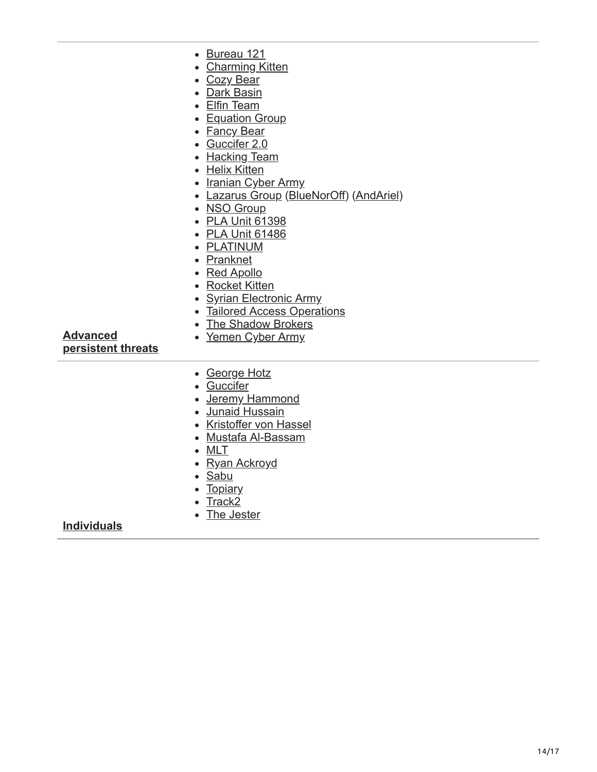| <b>Advanced</b><br>persistent threats | • Bureau 121<br><b>Charming Kitten</b><br>• Cozy Bear<br>• Dark Basin<br>• Elfin Team<br>• Equation Group<br>• Fancy Bear<br>• Guccifer 2.0<br>• Hacking Team<br>• Helix Kitten<br>• Iranian Cyber Army<br>• Lazarus Group (BlueNorOff) (AndAriel)<br>• NSO Group<br>• PLA Unit 61398<br>• PLA Unit 61486<br>• PLATINUM<br>• Pranknet<br>• Red Apollo<br>• Rocket Kitten<br><b>Syrian Electronic Army</b><br>• Tailored Access Operations<br>• The Shadow Brokers<br>• Yemen Cyber Army |
|---------------------------------------|-----------------------------------------------------------------------------------------------------------------------------------------------------------------------------------------------------------------------------------------------------------------------------------------------------------------------------------------------------------------------------------------------------------------------------------------------------------------------------------------|
|                                       | • George Hotz<br>• Guccifer<br>• Jeremy Hammond<br>• Junaid Hussain<br>• Kristoffer von Hassel<br>• Mustafa Al-Bassam<br>$\bullet$ MLT<br>• Ryan Ackroyd<br>• Sabu<br>• Topiary<br>• Track2                                                                                                                                                                                                                                                                                             |
| <b>Individuals</b>                    | • The Jester                                                                                                                                                                                                                                                                                                                                                                                                                                                                            |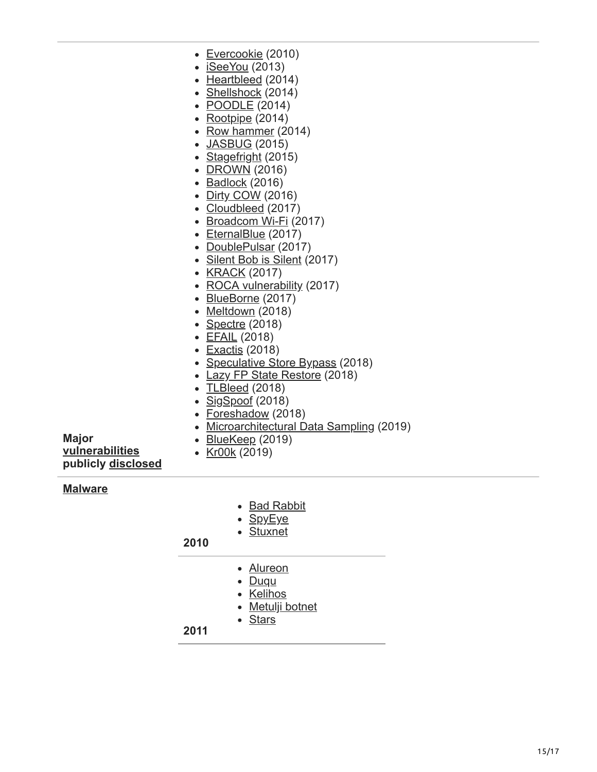- [Evercookie](https://en.wikipedia.org/wiki/Evercookie) (2010)
- [iSeeYou](https://en.wikipedia.org/wiki/ISeeYou) (2013)
- $\cdot$  [Heartbleed](https://en.wikipedia.org/wiki/Heartbleed) (2014)
- [Shellshock](https://en.wikipedia.org/wiki/Shellshock_(software_bug)) (2014)
- <u>[POODLE](https://en.wikipedia.org/wiki/POODLE)</u> (2014)
- [Rootpipe](https://en.wikipedia.org/wiki/Rootpipe) (2014)
- [Row hammer](https://en.wikipedia.org/wiki/Row_hammer) (2014)
- [JASBUG](https://en.wikipedia.org/wiki/JASBUG) (2015)
- [Stagefright](https://en.wikipedia.org/wiki/Stagefright_(bug)) (2015)
- [DROWN](https://en.wikipedia.org/wiki/DROWN_attack) (2016)
- $\bullet$  [Badlock](https://en.wikipedia.org/wiki/Badlock) (2016)
- [Dirty COW](https://en.wikipedia.org/wiki/Dirty_COW) (2016)
- [Cloudbleed](https://en.wikipedia.org/wiki/Cloudbleed) (2017)
- [Broadcom Wi-Fi](https://en.wikipedia.org/wiki/Broadcom_Corporation#soc-wifi-vulns) (2017)
- [EternalBlue](https://en.wikipedia.org/wiki/EternalBlue) (2017)
- [DoublePulsar](https://en.wikipedia.org/wiki/DoublePulsar) (2017)
- [Silent Bob is Silent](https://en.wikipedia.org/wiki/Intel_Active_Management_Technology#Silent_Bob_is_Silent) (2017)
- [KRACK](https://en.wikipedia.org/wiki/KRACK) (2017)
- [ROCA vulnerability](https://en.wikipedia.org/wiki/ROCA_vulnerability) (2017)
- [BlueBorne](https://en.wikipedia.org/wiki/BlueBorne_(security_vulnerability)) (2017)
- [Meltdown](https://en.wikipedia.org/wiki/Meltdown_(security_vulnerability)) (2018)
- [Spectre](https://en.wikipedia.org/wiki/Spectre_(security_vulnerability)) (2018)
- [EFAIL](https://en.wikipedia.org/wiki/EFAIL) (2018)
- [Exactis](https://en.wikipedia.org/wiki/Exactis) (2018)
- [Speculative Store Bypass](https://en.wikipedia.org/wiki/Speculative_Store_Bypass) (2018)
- [Lazy FP State Restore](https://en.wikipedia.org/wiki/Lazy_FP_State_Restore) (2018)
- [TLBleed](https://en.wikipedia.org/wiki/TLBleed) (2018)
- [SigSpoof](https://en.wikipedia.org/wiki/SigSpoof) (2018)

• [BlueKeep](https://en.wikipedia.org/wiki/BlueKeep) (2019)

- [Foreshadow](https://en.wikipedia.org/wiki/Foreshadow) (2018)
- [Microarchitectural Data Sampling](https://en.wikipedia.org/wiki/Microarchitectural_Data_Sampling) (2019)
- **Major [vulnerabilities](https://en.wikipedia.org/wiki/Vulnerability_(computing)) publicly [disclosed](https://en.wikipedia.org/wiki/Full_disclosure_(computer_security))**
- [Kr00k](https://en.wikipedia.org/wiki/Kr00k) (2019)

#### **[Malware](https://en.wikipedia.org/wiki/Malware)**

- [Bad Rabbit](https://en.wikipedia.org/wiki/Ransomware#Bad_Rabbit)
- [SpyEye](https://en.wikipedia.org/wiki/SpyEye)
- [Stuxnet](https://en.wikipedia.org/wiki/Stuxnet)

### **2010**

- [Alureon](https://en.wikipedia.org/wiki/Alureon)
- [Duqu](https://en.wikipedia.org/wiki/Duqu)
- [Kelihos](https://en.wikipedia.org/wiki/Kelihos_botnet)
- [Metulji botnet](https://en.wikipedia.org/wiki/Metulji_botnet)
- [Stars](https://en.wikipedia.org/wiki/Stars_virus)

#### **2011**

15/17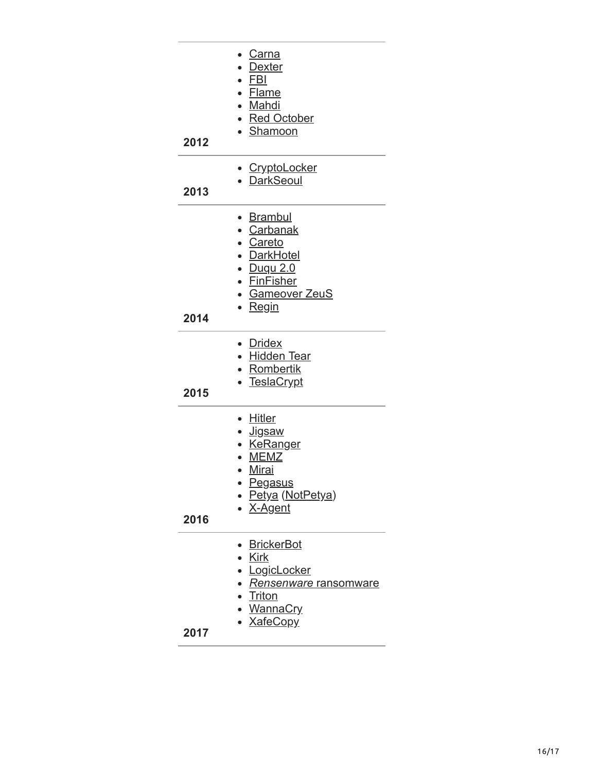| 2012 | • Carna<br>• Dexter<br>• <u>FBI</u><br>• Flame<br>• Mahdi<br>• Red October<br>· Shamoon                                                            |
|------|----------------------------------------------------------------------------------------------------------------------------------------------------|
| 2013 | • CryptoLocker<br>• DarkSeoul                                                                                                                      |
| 2014 | • Brambul<br>• Carbanak<br>• Careto<br>• DarkHotel<br><u>• Duqu 2.0</u><br>• FinFisher<br>· Gameover ZeuS<br>∙ <u>Regin</u>                        |
| 2015 | • Dridex<br>• Hidden Tear<br>• Rombertik<br>• TeslaCrypt                                                                                           |
| 2016 | • Hitler<br>∙ <u>Jigsaw</u><br>· KeRanger<br><b>MEMZ</b><br>$\bullet$<br><u>Mirai</u><br>$\bullet$<br>• Pegasus<br>• Petya (NotPetya)<br>• X-Agent |
| 2017 | <b>BrickerBot</b><br>• Kirk<br><u>• LogicLocker</u><br>• <i>Rensenware</i> ransomware<br>• <u>Triton</u><br><b>WannaCry</b><br>· XafeCopy          |